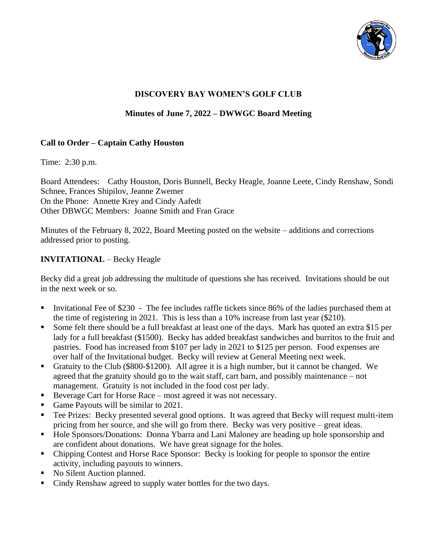

# **DISCOVERY BAY WOMEN'S GOLF CLUB**

#### **Minutes of June 7, 2022 – DWWGC Board Meeting**

#### **Call to Order – Captain Cathy Houston**

Time: 2:30 p.m.

Board Attendees: Cathy Houston, Doris Bunnell, Becky Heagle, Joanne Leete, Cindy Renshaw, Sondi Schnee, Frances Shipilov, Jeanne Zwemer On the Phone: Annette Krey and Cindy Aafedt Other DBWGC Members: Joanne Smith and Fran Grace

Minutes of the February 8, 2022, Board Meeting posted on the website – additions and corrections addressed prior to posting.

#### **INVITATIONAL** – Becky Heagle

Becky did a great job addressing the multitude of questions she has received. Invitations should be out in the next week or so.

- Invitational Fee of \$230 The fee includes raffle tickets since 86% of the ladies purchased them at the time of registering in 2021. This is less than a 10% increase from last year (\$210).
- Some felt there should be a full breakfast at least one of the days. Mark has quoted an extra \$15 per lady for a full breakfast (\$1500). Becky has added breakfast sandwiches and burritos to the fruit and pastries. Food has increased from \$107 per lady in 2021 to \$125 per person. Food expenses are over half of the Invitational budget. Becky will review at General Meeting next week.
- Gratuity to the Club (\$800-\$1200). All agree it is a high number, but it cannot be changed. We agreed that the gratuity should go to the wait staff, cart barn, and possibly maintenance – not management. Gratuity is not included in the food cost per lady.
- Beverage Cart for Horse Race most agreed it was not necessary.
- Game Payouts will be similar to 2021.
- **•** Tee Prizes: Becky presented several good options. It was agreed that Becky will request multi-item pricing from her source, and she will go from there. Becky was very positive – great ideas.
- Hole Sponsors/Donations: Donna Ybarra and Lani Maloney are heading up hole sponsorship and are confident about donations. We have great signage for the holes.
- Chipping Contest and Horse Race Sponsor: Becky is looking for people to sponsor the entire activity, including payouts to winners.
- No Silent Auction planned.
- Cindy Renshaw agreed to supply water bottles for the two days.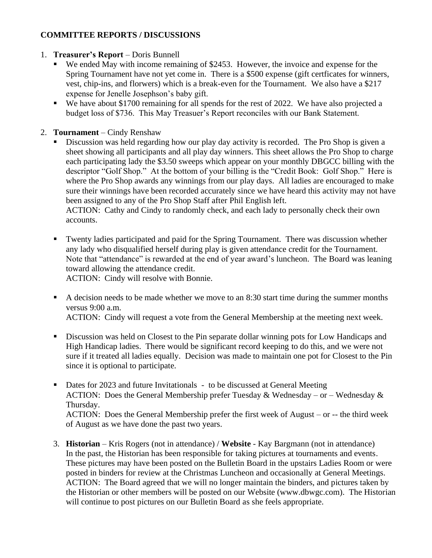# **COMMITTEE REPORTS / DISCUSSIONS**

### 1. **Treasurer's Report** – Doris Bunnell

- We ended May with income remaining of \$2453. However, the invoice and expense for the Spring Tournament have not yet come in. There is a \$500 expense (gift certficates for winners, vest, chip-ins, and florwers) which is a break-even for the Tournament. We also have a \$217 expense for Jenelle Josephson's baby gift.
- We have about \$1700 remaining for all spends for the rest of 2022. We have also projected a budget loss of \$736. This May Treasuer's Report reconciles with our Bank Statement.

# 2. **Tournament** – Cindy Renshaw

**EXECUTE:** Discussion was held regarding how our play day activity is recorded. The Pro Shop is given a sheet showing all participants and all play day winners. This sheet allows the Pro Shop to charge each participating lady the \$3.50 sweeps which appear on your monthly DBGCC billing with the descriptor "Golf Shop." At the bottom of your billing is the "Credit Book: Golf Shop." Here is where the Pro Shop awards any winnings from our play days. All ladies are encouraged to make sure their winnings have been recorded accurately since we have heard this activity may not have been assigned to any of the Pro Shop Staff after Phil English left.

ACTION: Cathy and Cindy to randomly check, and each lady to personally check their own accounts.

■ Twenty ladies participated and paid for the Spring Tournament. There was discussion whether any lady who disqualified herself during play is given attendance credit for the Tournament. Note that "attendance" is rewarded at the end of year award's luncheon. The Board was leaning toward allowing the attendance credit.

ACTION: Cindy will resolve with Bonnie.

- A decision needs to be made whether we move to an 8:30 start time during the summer months versus 9:00 a.m. ACTION: Cindy will request a vote from the General Membership at the meeting next week.
- **•** Discussion was held on Closest to the Pin separate dollar winning pots for Low Handicaps and High Handicap ladies. There would be significant record keeping to do this, and we were not sure if it treated all ladies equally. Decision was made to maintain one pot for Closest to the Pin since it is optional to participate.
- Dates for 2023 and future Invitationals to be discussed at General Meeting ACTION: Does the General Membership prefer Tuesday & Wednesday – or – Wednesday & Thursday. ACTION: Does the General Membership prefer the first week of August – or -- the third week of August as we have done the past two years.
- 3. **Historian** Kris Rogers (not in attendance) / **Website** Kay Bargmann (not in attendance) In the past, the Historian has been responsible for taking pictures at tournaments and events. These pictures may have been posted on the Bulletin Board in the upstairs Ladies Room or were posted in binders for review at the Christmas Luncheon and occasionally at General Meetings. ACTION: The Board agreed that we will no longer maintain the binders, and pictures taken by the Historian or other members will be posted on our Website (www.dbwgc.com). The Historian will continue to post pictures on our Bulletin Board as she feels appropriate.